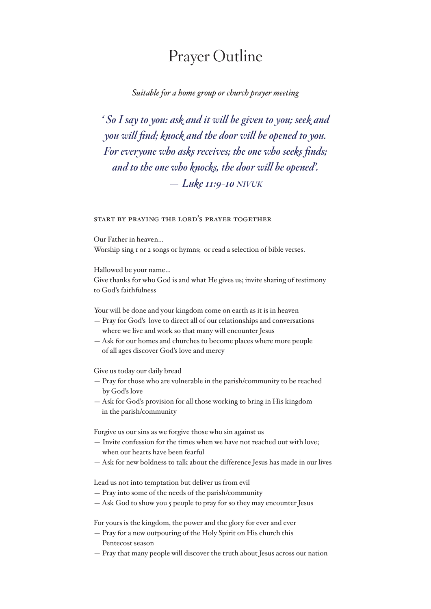## Prayer Outline

*Suitable for a home group or church prayer meeting* 

*' So I say to you: ask and it will be given to you; seek and you will find; knock and the door will be opened to you. For everyone who asks receives; the one who seeks finds; and to the one who knocks, the door will be opened'. — Luke 11:9-10 nivuk*

## start by praying the lord's prayer together

Our Father in heaven… Worship sing 1 or 2 songs or hymns; or read a selection of bible verses.

Hallowed be your name…

Give thanks for who God is and what He gives us; invite sharing of testimony to God's faithfulness

Your will be done and your kingdom come on earth as it is in heaven

- Pray for God's love to direct all of our relationships and conversations where we live and work so that many will encounter Jesus
- Ask for our homes and churches to become places where more people of all ages discover God's love and mercy

Give us today our daily bread

- Pray for those who are vulnerable in the parish/community to be reached by God's love
- Ask for God's provision for all those working to bring in His kingdom in the parish/community

Forgive us our sins as we forgive those who sin against us

- Invite confession for the times when we have not reached out with love; when our hearts have been fearful
- Ask for new boldness to talk about the difference Jesus has made in our lives

Lead us not into temptation but deliver us from evil

- Pray into some of the needs of the parish/community
- Ask God to show you 5 people to pray for so they may encounter Jesus

For yours is the kingdom, the power and the glory for ever and ever

- Pray for a new outpouring of the Holy Spirit on His church this Pentecost season
- Pray that many people will discover the truth about Jesus across our nation